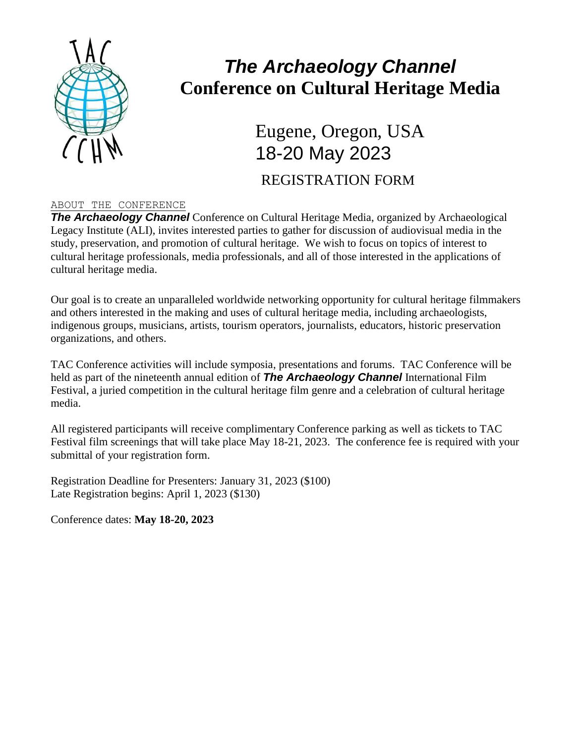

## *The Archaeology Channel* **Conference on Cultural Heritage Media**

Eugene, Oregon, USA 18-20 May 2023 REGISTRATION FORM

## ABOUT THE CONFERENCE

**The Archaeology Channel** Conference on Cultural Heritage Media, organized by Archaeological Legacy Institute (ALI), invites interested parties to gather for discussion of audiovisual media in the study, preservation, and promotion of cultural heritage. We wish to focus on topics of interest to cultural heritage professionals, media professionals, and all of those interested in the applications of cultural heritage media.

Our goal is to create an unparalleled worldwide networking opportunity for cultural heritage filmmakers and others interested in the making and uses of cultural heritage media, including archaeologists, indigenous groups, musicians, artists, tourism operators, journalists, educators, historic preservation organizations, and others.

TAC Conference activities will include symposia, presentations and forums. TAC Conference will be held as part of the nineteenth annual edition of *The Archaeology Channel* International Film Festival, a juried competition in the cultural heritage film genre and a celebration of cultural heritage media.

All registered participants will receive complimentary Conference parking as well as tickets to TAC Festival film screenings that will take place May 18-21, 2023. The conference fee is required with your submittal of your registration form.

Registration Deadline for Presenters: January 31, 2023 (\$100) Late Registration begins: April 1, 2023 (\$130)

Conference dates: **May 18-20, 2023**